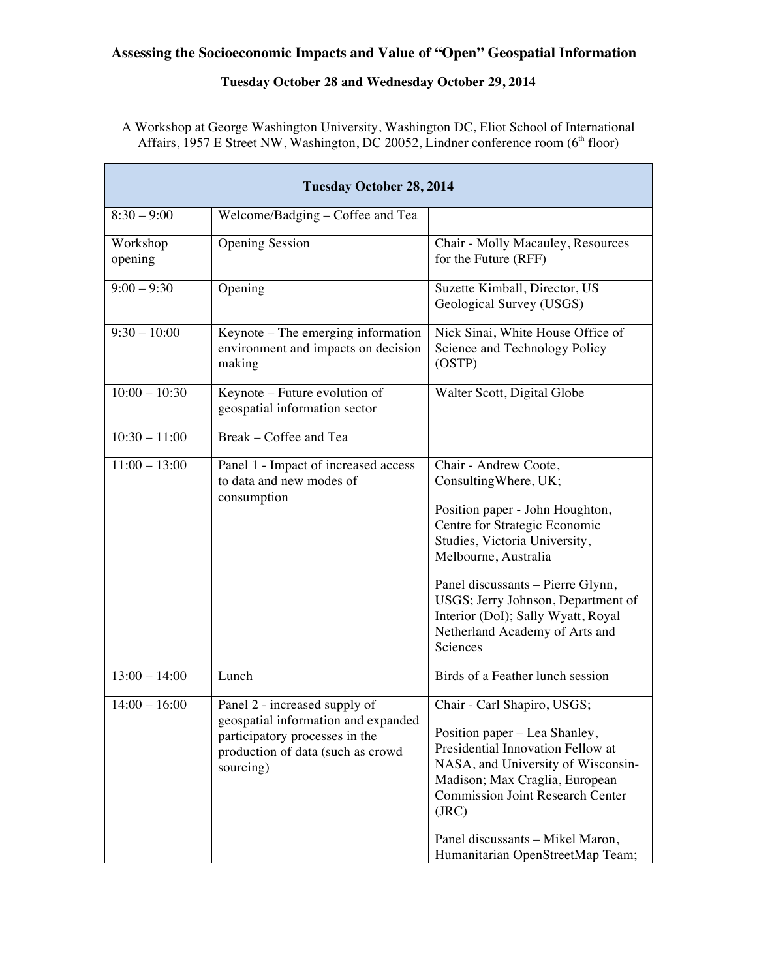#### **Assessing the Socioeconomic Impacts and Value of "Open" Geospatial Information**

#### **Tuesday October 28 and Wednesday October 29, 2014**

A Workshop at George Washington University, Washington DC, Eliot School of International Affairs, 1957 E Street NW, Washington, DC 20052, Lindner conference room  $(6<sup>th</sup>$  floor)

| <b>Tuesday October 28, 2014</b> |                                                                                                                                                          |                                                                                                                                                                                                                                                                                                                                            |  |
|---------------------------------|----------------------------------------------------------------------------------------------------------------------------------------------------------|--------------------------------------------------------------------------------------------------------------------------------------------------------------------------------------------------------------------------------------------------------------------------------------------------------------------------------------------|--|
| $8:30 - 9:00$                   | Welcome/Badging - Coffee and Tea                                                                                                                         |                                                                                                                                                                                                                                                                                                                                            |  |
| Workshop<br>opening             | <b>Opening Session</b>                                                                                                                                   | Chair - Molly Macauley, Resources<br>for the Future (RFF)                                                                                                                                                                                                                                                                                  |  |
| $9:00 - 9:30$                   | Opening                                                                                                                                                  | Suzette Kimball, Director, US<br>Geological Survey (USGS)                                                                                                                                                                                                                                                                                  |  |
| $9:30 - 10:00$                  | Keynote - The emerging information<br>environment and impacts on decision<br>making                                                                      | Nick Sinai, White House Office of<br>Science and Technology Policy<br>(OSTP)                                                                                                                                                                                                                                                               |  |
| $10:00 - 10:30$                 | Keynote – Future evolution of<br>geospatial information sector                                                                                           | Walter Scott, Digital Globe                                                                                                                                                                                                                                                                                                                |  |
| $10:30 - 11:00$                 | Break - Coffee and Tea                                                                                                                                   |                                                                                                                                                                                                                                                                                                                                            |  |
| $11:00 - 13:00$                 | Panel 1 - Impact of increased access<br>to data and new modes of<br>consumption                                                                          | Chair - Andrew Coote,<br>Consulting Where, UK;<br>Position paper - John Houghton,<br>Centre for Strategic Economic<br>Studies, Victoria University,<br>Melbourne, Australia<br>Panel discussants - Pierre Glynn,<br>USGS; Jerry Johnson, Department of<br>Interior (DoI); Sally Wyatt, Royal<br>Netherland Academy of Arts and<br>Sciences |  |
| $13:00 - 14:00$                 | Lunch                                                                                                                                                    | Birds of a Feather lunch session                                                                                                                                                                                                                                                                                                           |  |
| $\frac{14:00 - 16:00}{$         | Panel 2 - increased supply of<br>geospatial information and expanded<br>participatory processes in the<br>production of data (such as crowd<br>sourcing) | Chair - Carl Shapiro, USGS;<br>Position paper – Lea Shanley,<br>Presidential Innovation Fellow at<br>NASA, and University of Wisconsin-<br>Madison; Max Craglia, European<br><b>Commission Joint Research Center</b><br>(JRC)<br>Panel discussants - Mikel Maron,<br>Humanitarian OpenStreetMap Team;                                      |  |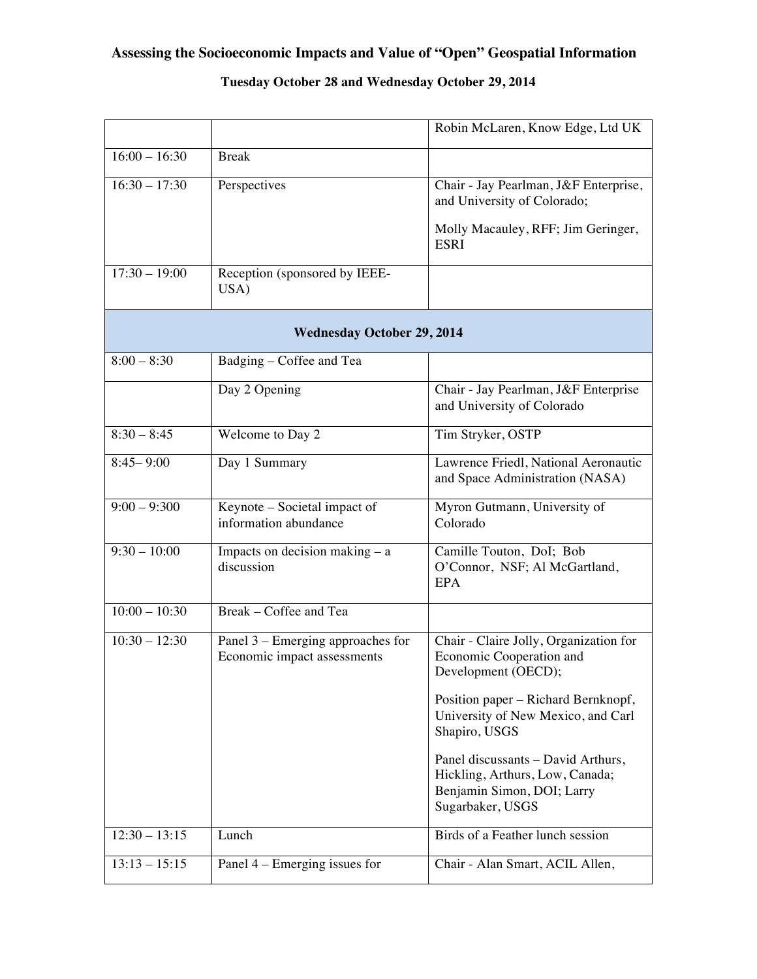# **Assessing the Socioeconomic Impacts and Value of "Open" Geospatial Information**

### **Tuesday October 28 and Wednesday October 29, 2014**

|                                   |                                                                  | Robin McLaren, Know Edge, Ltd UK                                                                                                 |  |  |
|-----------------------------------|------------------------------------------------------------------|----------------------------------------------------------------------------------------------------------------------------------|--|--|
| $16:00 - 16:30$                   | <b>Break</b>                                                     |                                                                                                                                  |  |  |
| $16:30 - 17:30$                   | Perspectives                                                     | Chair - Jay Pearlman, J&F Enterprise,<br>and University of Colorado;                                                             |  |  |
|                                   |                                                                  | Molly Macauley, RFF; Jim Geringer,<br><b>ESRI</b>                                                                                |  |  |
| $17:30 - 19:00$                   | Reception (sponsored by IEEE-<br>USA)                            |                                                                                                                                  |  |  |
| <b>Wednesday October 29, 2014</b> |                                                                  |                                                                                                                                  |  |  |
| $8:00 - 8:30$                     | Badging - Coffee and Tea                                         |                                                                                                                                  |  |  |
|                                   | Day 2 Opening                                                    | Chair - Jay Pearlman, J&F Enterprise<br>and University of Colorado                                                               |  |  |
| $8:30 - 8:45$                     | Welcome to Day 2                                                 | Tim Stryker, OSTP                                                                                                                |  |  |
| $8:45 - 9:00$                     | Day 1 Summary                                                    | Lawrence Friedl, National Aeronautic<br>and Space Administration (NASA)                                                          |  |  |
| $9:00 - 9:300$                    | Keynote – Societal impact of<br>information abundance            | Myron Gutmann, University of<br>Colorado                                                                                         |  |  |
| $9:30 - 10:00$                    | Impacts on decision making $-$ a<br>discussion                   | Camille Touton, DoI; Bob<br>O'Connor, NSF; Al McGartland,<br><b>EPA</b>                                                          |  |  |
| $\overline{10:00-10}:30$          | Break - Coffee and Tea                                           |                                                                                                                                  |  |  |
| $10:30 - 12:30$                   | Panel 3 – Emerging approaches for<br>Economic impact assessments | Chair - Claire Jolly, Organization for<br>Economic Cooperation and<br>Development (OECD);<br>Position paper – Richard Bernknopf, |  |  |
|                                   |                                                                  | University of New Mexico, and Carl<br>Shapiro, USGS                                                                              |  |  |
|                                   |                                                                  | Panel discussants - David Arthurs,<br>Hickling, Arthurs, Low, Canada;<br>Benjamin Simon, DOI; Larry<br>Sugarbaker, USGS          |  |  |
| $12:30 - 13:15$                   | Lunch                                                            | Birds of a Feather lunch session                                                                                                 |  |  |
| $13:13 - 15:15$                   | Panel 4 – Emerging issues for                                    | Chair - Alan Smart, ACIL Allen,                                                                                                  |  |  |